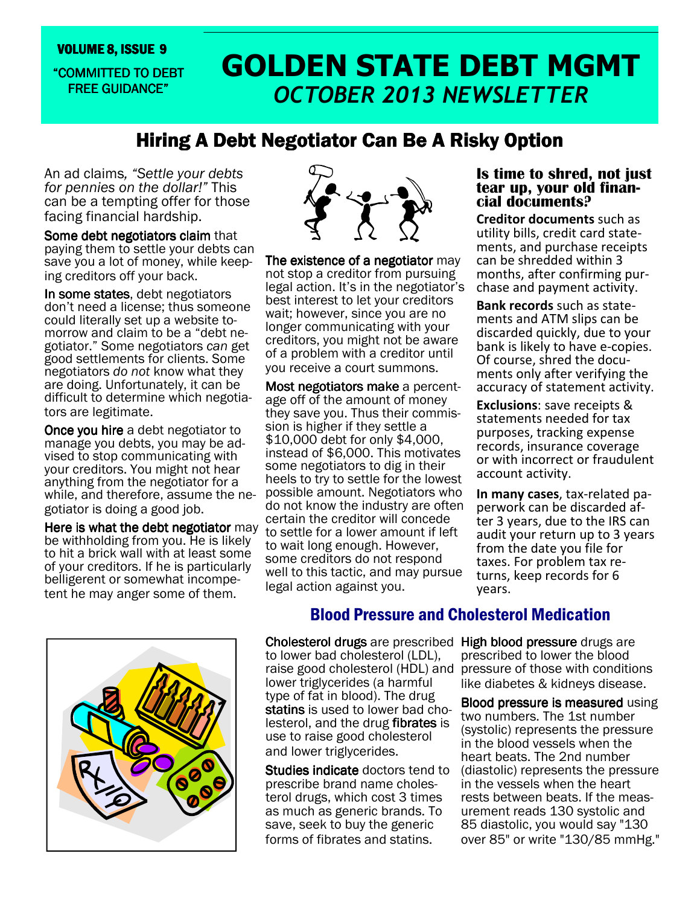### "COMMITTED TO DEBT **FREE GUIDANCE"**

# VOLUME 8, ISSUE 9<br>COMMITTED TO DEBT **GOLDEN STATE DEBT MGMT** OCTOBER 2013 NEWSLETTER

# Hiring A Debt Negotiator Can Be A Risky Option

An ad claims, "Settle your debts for pennies on the dollar!" This can be a tempting offer for those facing financial hardship.

Some debt negotiators claim that paying them to settle your debts can save you a lot of money, while keeping creditors off your back.

In some states, debt negotiators don't need a license; thus someone could literally set up a website tomorrow and claim to be a "debt negotiator." Some negotiators can get good settlements for clients. Some negotiators do not know what they are doing. Unfortunately, it can be difficult to determine which negotiators are legitimate.

**Once you hire** a debt negotiator to manage you debts, you may be advised to stop communicating with your creditors. You might not hear anything from the negotiator for a while, and therefore, assume the negotiator is doing a good job.

Here is what the debt negotiator may be withholding from you. He is likely to hit a brick wall with at least some of your creditors. If he is particularly belligerent or somewhat incompetent he may anger some of them.



The existence of a negotiator may not stop a creditor from pursuing legal action. It's in the negotiator's best interest to let your creditors wait; however, since you are no longer communicating with your creditors, you might not be aware of a problem with a creditor until you receive a court summons.

Most negotiators make a percentage off of the amount of money they save you. Thus their commission is higher if they settle a \$10,000 debt for only \$4,000, instead of \$6,000. This motivates some negotiators to dig in their heels to try to settle for the lowest possible amount. Negotiators who do not know the industry are often certain the creditor will concede to settle for a lower amount if left to wait long enough. However, some creditors do not respond well to this tactic, and may pursue legal action against you.

### Is time to shred, not just tear up, your old financial documents?

Creditor documents such as utility bills, credit card statements, and purchase receipts can be shredded within 3 months, after confirming purchase and payment activity.

Bank records such as statements and ATM slips can be discarded quickly, due to your bank is likely to have e-copies. Of course, shred the documents only after verifying the accuracy of statement activity.

Exclusions: save receipts & statements needed for tax purposes, tracking expense records, insurance coverage or with incorrect or fraudulent account activity.

In many cases, tax-related paperwork can be discarded after 3 years, due to the IRS can audit your return up to 3 years from the date you file for taxes. For problem tax returns, keep records for 6 years.



## Blood Pressure and Cholesterol Medication

Cholesterol drugs are prescribed High blood pressure drugs are to lower bad cholesterol (LDL), lower triglycerides (a harmful type of fat in blood). The drug statins is used to lower bad cholesterol, and the drug fibrates is use to raise good cholesterol and lower triglycerides.

**Studies indicate** doctors tend to prescribe brand name cholesterol drugs, which cost 3 times as much as generic brands. To save, seek to buy the generic forms of fibrates and statins.

raise good cholesterol (HDL) and pressure of those with conditions prescribed to lower the blood like diabetes & kidneys disease.

> Blood pressure is measured using two numbers. The 1st number (systolic) represents the pressure in the blood vessels when the heart beats. The 2nd number (diastolic) represents the pressure in the vessels when the heart rests between beats. If the measurement reads 130 systolic and 85 diastolic, you would say "130 over 85" or write "130/85 mmHg."